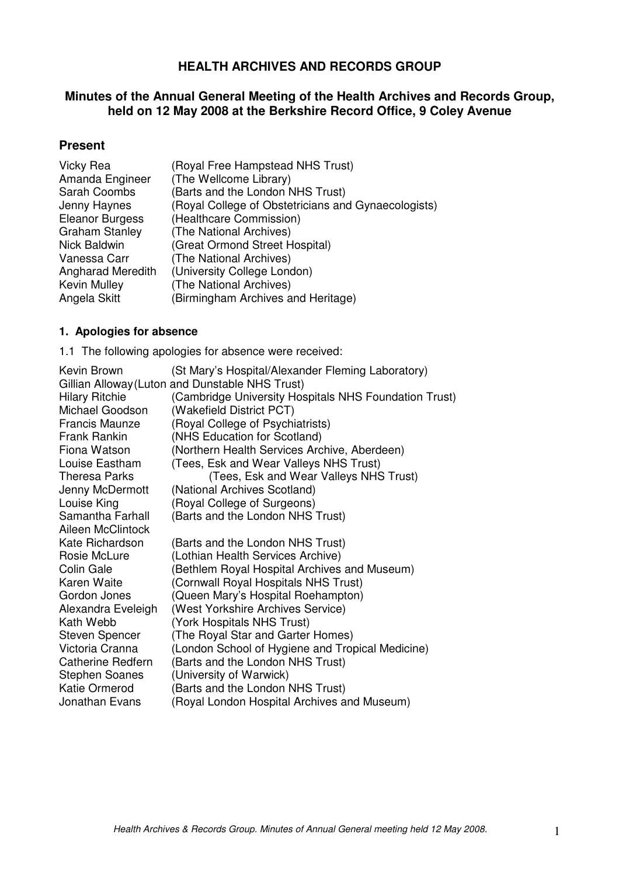# **HEALTH ARCHIVES AND RECORDS GROUP**

# **Minutes of the Annual General Meeting of the Health Archives and Records Group, held on 12 May 2008 at the Berkshire Record Office, 9 Coley Avenue**

# **Present**

| Vicky Rea              | (Royal Free Hampstead NHS Trust)                    |
|------------------------|-----------------------------------------------------|
| Amanda Engineer        | (The Wellcome Library)                              |
| <b>Sarah Coombs</b>    | (Barts and the London NHS Trust)                    |
| Jenny Haynes           | (Royal College of Obstetricians and Gynaecologists) |
| <b>Eleanor Burgess</b> | (Healthcare Commission)                             |
| <b>Graham Stanley</b>  | (The National Archives)                             |
| <b>Nick Baldwin</b>    | (Great Ormond Street Hospital)                      |
| Vanessa Carr           | (The National Archives)                             |
| Angharad Meredith      | (University College London)                         |
| Kevin Mulley           | (The National Archives)                             |
| Angela Skitt           | (Birmingham Archives and Heritage)                  |

#### **1. Apologies for absence**

1.1 The following apologies for absence were received:

| Kevin Brown                                     | (St Mary's Hospital/Alexander Fleming Laboratory)     |
|-------------------------------------------------|-------------------------------------------------------|
| Gillian Alloway (Luton and Dunstable NHS Trust) |                                                       |
| <b>Hilary Ritchie</b>                           | (Cambridge University Hospitals NHS Foundation Trust) |
| Michael Goodson                                 | (Wakefield District PCT)                              |
| <b>Francis Maunze</b>                           | (Royal College of Psychiatrists)                      |
| <b>Frank Rankin</b>                             | (NHS Education for Scotland)                          |
| Fiona Watson                                    | (Northern Health Services Archive, Aberdeen)          |
| Louise Eastham                                  | (Tees, Esk and Wear Valleys NHS Trust)                |
| <b>Theresa Parks</b>                            | (Tees, Esk and Wear Valleys NHS Trust)                |
| Jenny McDermott                                 | (National Archives Scotland)                          |
| Louise King                                     | (Royal College of Surgeons)                           |
| Samantha Farhall                                | (Barts and the London NHS Trust)                      |
| Aileen McClintock                               |                                                       |
| Kate Richardson                                 | (Barts and the London NHS Trust)                      |
| Rosie McLure                                    | (Lothian Health Services Archive)                     |
| Colin Gale                                      | (Bethlem Royal Hospital Archives and Museum)          |
| Karen Waite                                     | (Cornwall Royal Hospitals NHS Trust)                  |
| Gordon Jones                                    | (Queen Mary's Hospital Roehampton)                    |
| Alexandra Eveleigh                              | (West Yorkshire Archives Service)                     |
| Kath Webb                                       | (York Hospitals NHS Trust)                            |
| <b>Steven Spencer</b>                           | (The Royal Star and Garter Homes)                     |
| Victoria Cranna                                 | (London School of Hygiene and Tropical Medicine)      |
| <b>Catherine Redfern</b>                        | (Barts and the London NHS Trust)                      |
| <b>Stephen Soanes</b>                           | (University of Warwick)                               |
| Katie Ormerod                                   | (Barts and the London NHS Trust)                      |
| Jonathan Evans                                  | (Royal London Hospital Archives and Museum)           |